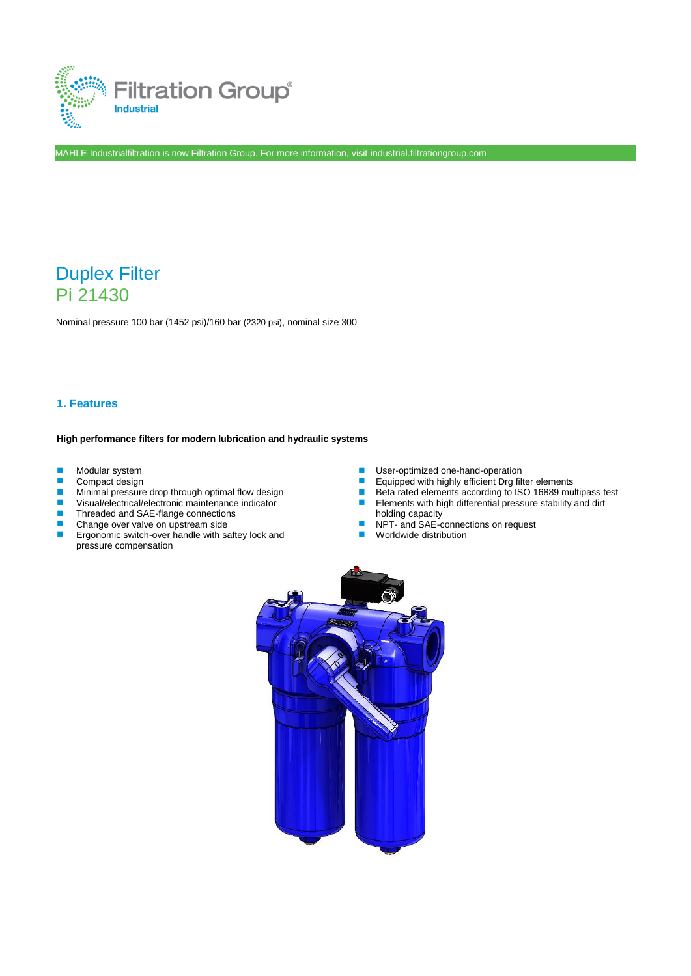

MAHLE Industrialfiltration is now Filtration Group. For more information, visit industrial.filtrationgroup.com

# Duplex Filter Pi 21430

Nominal pressure 100 bar (1452 psi)/160 bar (2320 psi), nominal size 300

### **1. Features**

#### **High performance filters for modern lubrication and hydraulic systems**

- 
- 
- 
- 
- Threaded and SAE-flange connections<br>Change over valve on upstream side
- Change over valve on upstream side **NOTE SALE-CONNECT SALE-Connections on request**<br>■ NOTE SALE-connections on request **NOTE SALE-CONNECT SALE-CONNECT SALE-CONNECT SALE-CONNECT SALE-** Worldwide distribution Ergonomic switch-over handle with saftey lock and
- pressure compensation
- **Modular system The Compact of Compact Act and Serverse Compact Act and Serverse Compact Act and Serverse Compa<br>
Compact design The Compact Org filt** 
	-
- Compact design Compact design Compact design Compact design Compact design Compact design Compact Compact Compact Compact Compact Compact Compact Compact Compact Compact Compact Compact Compact Compact Compact Compact C ■ Minimal pressure drop through optimal flow design **Beta rated elements according to ISO 16889 multipass test**<br>■ Visual/electrical/electronic maintenance indicator ■ Beta rated elements with high differential pressure st
- Visual/electrical/electronic maintenance indicator  **Elements with high differential pressure stability and dirt**<br>■ Threaded and SAE-flange connections buding capacity bolding capacity
	-
	-

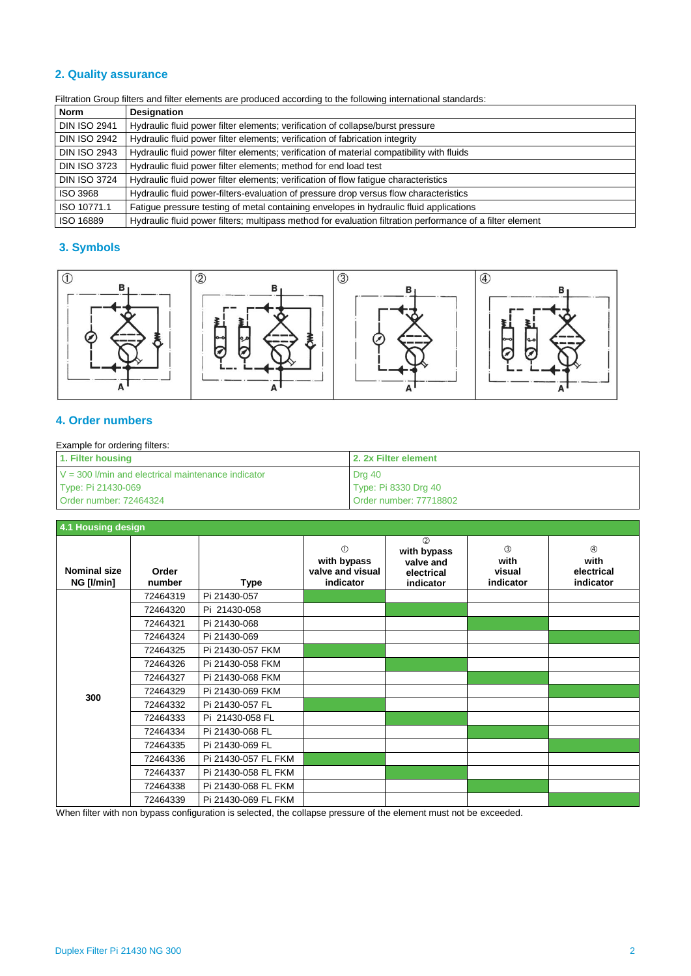# **2. Quality assurance**

Filtration Group filters and filter elements are produced according to the following international standards:

| <b>Norm</b>         | <b>Designation</b>                                                                                        |
|---------------------|-----------------------------------------------------------------------------------------------------------|
| <b>DIN ISO 2941</b> | Hydraulic fluid power filter elements; verification of collapse/burst pressure                            |
| <b>DIN ISO 2942</b> | Hydraulic fluid power filter elements; verification of fabrication integrity                              |
| <b>DIN ISO 2943</b> | Hydraulic fluid power filter elements; verification of material compatibility with fluids                 |
| <b>DIN ISO 3723</b> | Hydraulic fluid power filter elements; method for end load test                                           |
| <b>DIN ISO 3724</b> | Hydraulic fluid power filter elements; verification of flow fatique characteristics                       |
| ISO 3968            | Hydraulic fluid power-filters-evaluation of pressure drop versus flow characteristics                     |
| ISO 10771.1         | Fatigue pressure testing of metal containing envelopes in hydraulic fluid applications                    |
| ISO 16889           | Hydraulic fluid power filters; multipass method for evaluation filtration performance of a filter element |

# **3. Symbols**



## **4. Order numbers**

| Example for ordering filters:                        |                        |  |  |  |  |  |  |
|------------------------------------------------------|------------------------|--|--|--|--|--|--|
| 1. Filter housing                                    | 2. 2x Filter element   |  |  |  |  |  |  |
| $V = 300$ I/min and electrical maintenance indicator | Drg 40                 |  |  |  |  |  |  |
| Type: Pi 21430-069                                   | Type: Pi 8330 Drg 40   |  |  |  |  |  |  |
| Order number: 72464324                               | Order number: 77718802 |  |  |  |  |  |  |

| 4.1 Housing design                |                 |                     |                                                         |                                                                      |                                    |                                        |
|-----------------------------------|-----------------|---------------------|---------------------------------------------------------|----------------------------------------------------------------------|------------------------------------|----------------------------------------|
| <b>Nominal size</b><br>NG [I/min] | Order<br>number | Type                | $\circ$<br>with bypass<br>valve and visual<br>indicator | $\circled{2}$<br>with bypass<br>valve and<br>electrical<br>indicator | (3)<br>with<br>visual<br>indicator | (4)<br>with<br>electrical<br>indicator |
|                                   | 72464319        | Pi 21430-057        |                                                         |                                                                      |                                    |                                        |
|                                   | 72464320        | Pi 21430-058        |                                                         |                                                                      |                                    |                                        |
|                                   | 72464321        | Pi 21430-068        |                                                         |                                                                      |                                    |                                        |
|                                   | 72464324        | Pi 21430-069        |                                                         |                                                                      |                                    |                                        |
|                                   | 72464325        | Pi 21430-057 FKM    |                                                         |                                                                      |                                    |                                        |
|                                   | 72464326        | Pi 21430-058 FKM    |                                                         |                                                                      |                                    |                                        |
|                                   | 72464327        | Pi 21430-068 FKM    |                                                         |                                                                      |                                    |                                        |
| 300                               | 72464329        | Pi 21430-069 FKM    |                                                         |                                                                      |                                    |                                        |
|                                   | 72464332        | Pi 21430-057 FL     |                                                         |                                                                      |                                    |                                        |
|                                   | 72464333        | Pi 21430-058 FL     |                                                         |                                                                      |                                    |                                        |
|                                   | 72464334        | Pi 21430-068 FL     |                                                         |                                                                      |                                    |                                        |
|                                   | 72464335        | Pi 21430-069 FL     |                                                         |                                                                      |                                    |                                        |
|                                   | 72464336        | Pi 21430-057 FL FKM |                                                         |                                                                      |                                    |                                        |
|                                   | 72464337        | Pi 21430-058 FL FKM |                                                         |                                                                      |                                    |                                        |
|                                   | 72464338        | Pi 21430-068 FL FKM |                                                         |                                                                      |                                    |                                        |
|                                   | 72464339        | Pi 21430-069 FL FKM |                                                         |                                                                      |                                    |                                        |

When filter with non bypass configuration is selected, the collapse pressure of the element must not be exceeded.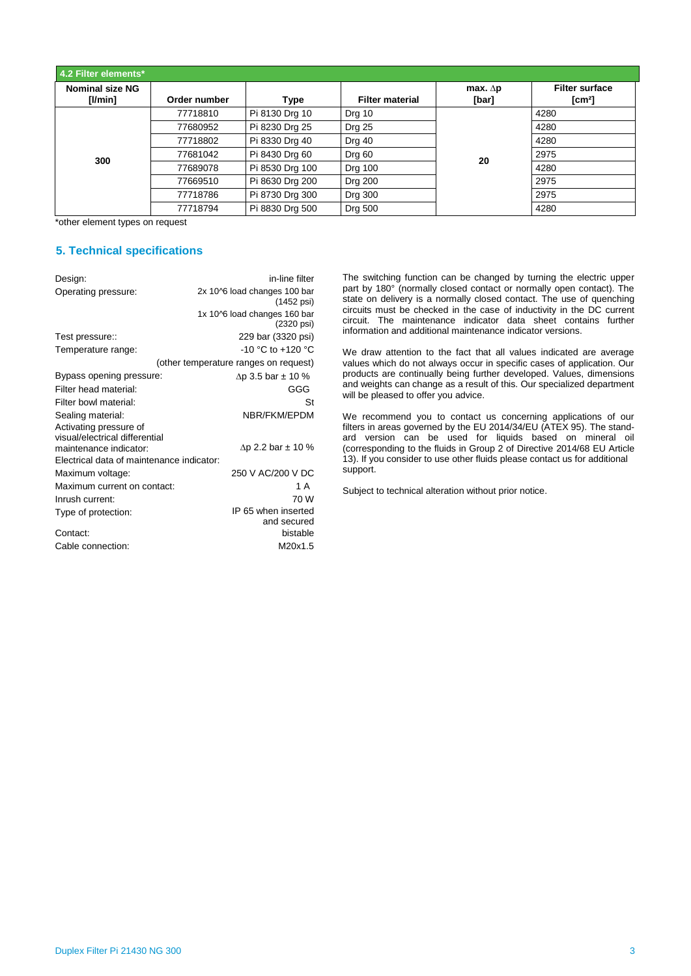| 4.2 Filter elements*                    |              |                 |                        |                          |                                             |
|-----------------------------------------|--------------|-----------------|------------------------|--------------------------|---------------------------------------------|
| <b>Nominal size NG</b><br>$[$ l/min $]$ | Order number | <b>Type</b>     | <b>Filter material</b> | max. $\Delta p$<br>[bar] | <b>Filter surface</b><br>[cm <sup>2</sup> ] |
|                                         | 77718810     | Pi 8130 Drg 10  | Drg 10                 |                          | 4280                                        |
|                                         | 77680952     | Pi 8230 Drg 25  | Drg 25                 |                          | 4280                                        |
|                                         | 77718802     | Pi 8330 Drg 40  | Drg 40                 |                          | 4280                                        |
| 300                                     | 77681042     | Pi 8430 Drg 60  | Drg 60                 | 20                       | 2975                                        |
|                                         | 77689078     | Pi 8530 Drg 100 | <b>Drg 100</b>         |                          | 4280                                        |
|                                         | 77669510     | Pi 8630 Drg 200 | <b>Drg 200</b>         |                          | 2975                                        |
|                                         | 77718786     | Pi 8730 Drg 300 | Drg 300                |                          | 2975                                        |
|                                         | 77718794     | Pi 8830 Drg 500 | Drg 500                |                          | 4280                                        |

\*other element types on request

### **5. Technical specifications**

| Design:                                                             | in-line filter                                       |
|---------------------------------------------------------------------|------------------------------------------------------|
| Operating pressure:                                                 | 2x 10^6 load changes 100 bar<br>(1452 psi)           |
|                                                                     | 1x 10^6 load changes 160 bar<br>$(2320 \text{ psi})$ |
| Test pressure::                                                     | 229 bar (3320 psi)                                   |
| Temperature range:                                                  | $-10$ °C to $+120$ °C                                |
|                                                                     | (other temperature ranges on request)                |
| Bypass opening pressure:                                            | $\Delta p$ 3.5 bar $\pm$ 10 %                        |
| Filter head material:                                               | GGG                                                  |
| Filter bowl material:                                               | St                                                   |
| Sealing material:                                                   | NBR/FKM/EPDM                                         |
| Activating pressure of                                              |                                                      |
| visual/electrical differential                                      |                                                      |
| maintenance indicator:<br>Electrical data of maintenance indicator: | $\Delta p$ 2.2 bar $\pm$ 10 %                        |
|                                                                     |                                                      |
| Maximum voltage:                                                    | 250 V AC/200 V DC                                    |
| Maximum current on contact:                                         | 1 A                                                  |
| Inrush current:                                                     | 70 W                                                 |
| Type of protection:                                                 | IP 65 when inserted                                  |
|                                                                     | and secured                                          |
| Contact:                                                            | bistable                                             |
| Cable connection:                                                   | M20x1.5                                              |

The switching function can be changed by turning the electric upper part by 180° (normally closed contact or normally open contact). The state on delivery is a normally closed contact. The use of quenching circuits must be checked in the case of inductivity in the DC current circuit. The maintenance indicator data sheet contains further information and additional maintenance indicator versions.

We draw attention to the fact that all values indicated are average values which do not always occur in specific cases of application. Our products are continually being further developed. Values, dimensions and weights can change as a result of this. Our specialized department will be pleased to offer you advice.

We recommend you to contact us concerning applications of our filters in areas governed by the EU 2014/34/EU (ATEX 95). The standard version can be used for liquids based on mineral oil (corresponding to the fluids in Group 2 of Directive 2014/68 EU Article 13). If you consider to use other fluids please contact us for additional support.

Subject to technical alteration without prior notice.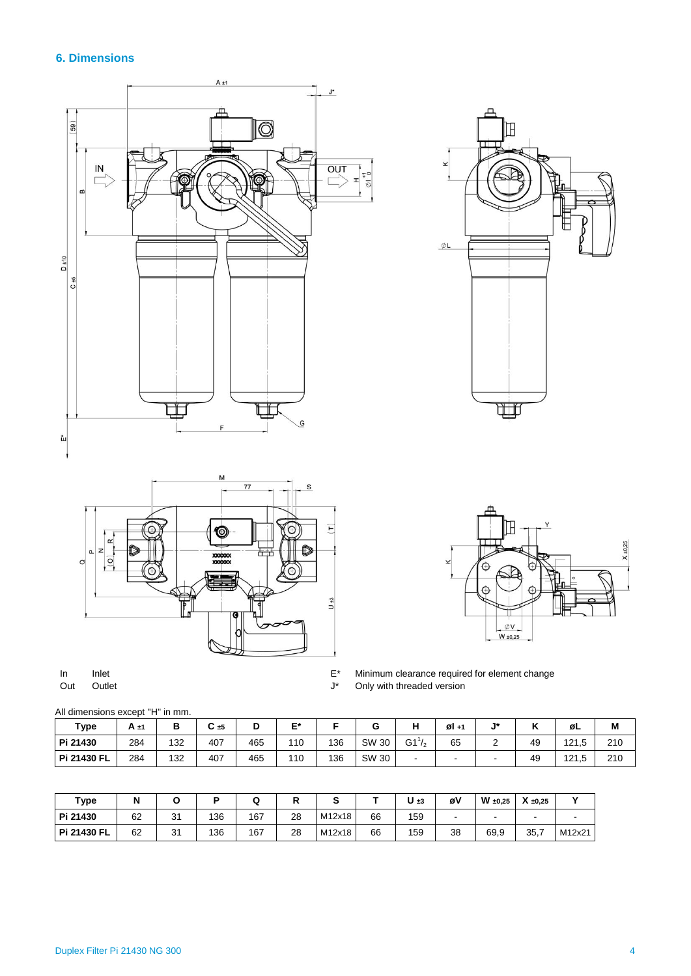# **6. Dimensions**









 $\circ$ 

In Inlet Inlet E<sup>\*</sup> Minimum clearance required for element change<br>
Out Outlet Cutlet Cutles and Cutles of Cutles of Cutles of Cutles Cutles Cutles Cutles Cutles Cutles Cutles Cu Out Outlet 2008 Out Outlet Current Current Current Current Current Current Current Current Current Current Current Current Current Current Current Current Current Current Current Current Current Current Current Current Cur

All dimensions except "H" in mm.

| Type        | A ±1 | в   | $\sim$<br>C ±5 |     | E*  |     |       |                              | $Øl + 1$ | $_{1*}$<br>u | $\overline{ }$ | øL    | M   |
|-------------|------|-----|----------------|-----|-----|-----|-------|------------------------------|----------|--------------|----------------|-------|-----|
| Pi 21430    | 284  | 132 | 407            | 465 | 110 | 136 | SW 30 | $G1^{1/2}$<br>$\overline{1}$ | 65       | <u>_</u>     | 49             | 121,5 | 210 |
| Pi 21430 FL | 284  | 132 | 407            | 465 | 110 | 136 | SW 30 | $\overline{\phantom{a}}$     | -        |              | 49             | 121,5 | 210 |

 $\overline{5}$ 

| Type        | N  |           |     |     |    |        |    | $U \pm 3$ | øV | $W \pm 0.25$ | $X \pm 0.25$ |        |
|-------------|----|-----------|-----|-----|----|--------|----|-----------|----|--------------|--------------|--------|
| Pi 21430    | 62 | 21<br>ا ت | 136 | 167 | 28 | M12x18 | 66 | 159       | -  |              |              |        |
| Pi 21430 FL | 62 | 31        | 136 | 167 | 28 | M12x18 | 66 | 159       | 38 | 69,9         | 35,7         | M12x21 |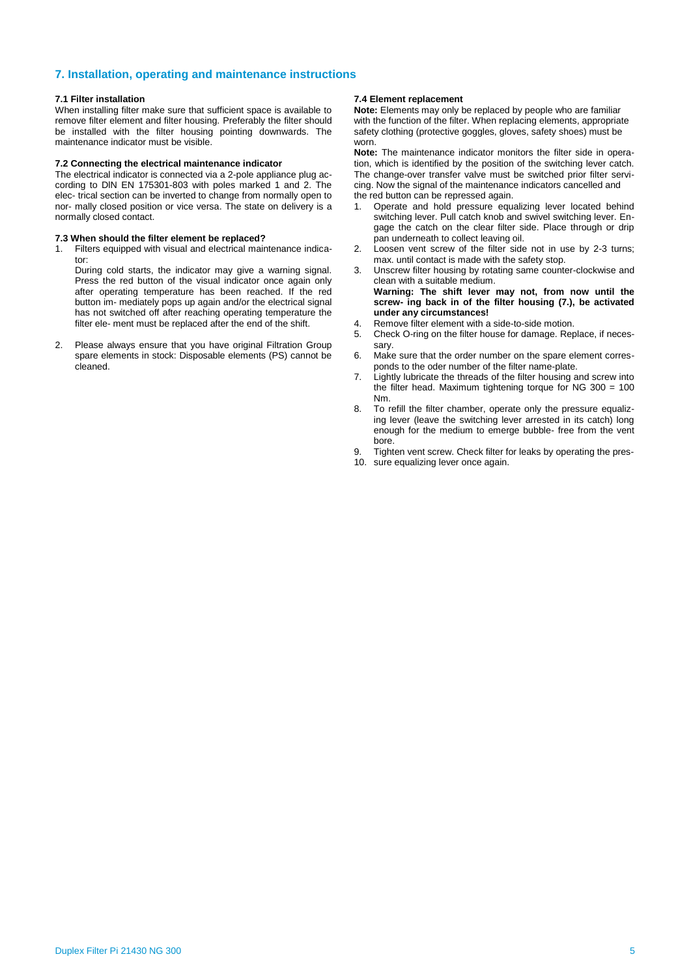### **7. Installation, operating and maintenance instructions**

#### **7.1 Filter installation**

When installing filter make sure that sufficient space is available to remove filter element and filter housing. Preferably the filter should be installed with the filter housing pointing downwards. The maintenance indicator must be visible.

### **7.2 Connecting the electrical maintenance indicator**

The electrical indicator is connected via a 2-pole appliance plug according to DlN EN 175301-803 with poles marked 1 and 2. The elec- trical section can be inverted to change from normally open to nor- mally closed position or vice versa. The state on delivery is a normally closed contact.

#### **7.3 When should the filter element be replaced?**

1. Filters equipped with visual and electrical maintenance indicator:

During cold starts, the indicator may give a warning signal. Press the red button of the visual indicator once again only after operating temperature has been reached. If the red button im- mediately pops up again and/or the electrical signal has not switched off after reaching operating temperature the filter ele- ment must be replaced after the end of the shift.

2. Please always ensure that you have original Filtration Group spare elements in stock: Disposable elements (PS) cannot be cleaned.

### **7.4 Element replacement**

**Note:** Elements may only be replaced by people who are familiar with the function of the filter. When replacing elements, appropriate safety clothing (protective goggles, gloves, safety shoes) must be worn.

**Note:** The maintenance indicator monitors the filter side in operation, which is identified by the position of the switching lever catch. The change-over transfer valve must be switched prior filter servicing. Now the signal of the maintenance indicators cancelled and the red button can be repressed again.

- 1. Operate and hold pressure equalizing lever located behind switching lever. Pull catch knob and swivel switching lever. Engage the catch on the clear filter side. Place through or drip pan underneath to collect leaving oil.
- 2. Loosen vent screw of the filter side not in use by 2-3 turns; max. until contact is made with the safety stop.
- 3. Unscrew filter housing by rotating same counter-clockwise and clean with a suitable medium. **Warning: The shift lever may not, from now until the**
- **screw- ing back in of the filter housing (7.), be activated under any circumstances!**
- 4. Remove filter element with a side-to-side motion.
- 5. Check O-ring on the filter house for damage. Replace, if necessary.
- 6. Make sure that the order number on the spare element corresponds to the oder number of the filter name-plate.
- 7. Lightly lubricate the threads of the filter housing and screw into the filter head. Maximum tightening torque for NG 300 = 100 Nm.
- 8. To refill the filter chamber, operate only the pressure equalizing lever (leave the switching lever arrested in its catch) long enough for the medium to emerge bubble- free from the vent bore.
- 9. Tighten vent screw. Check filter for leaks by operating the pres-
- 10. sure equalizing lever once again.